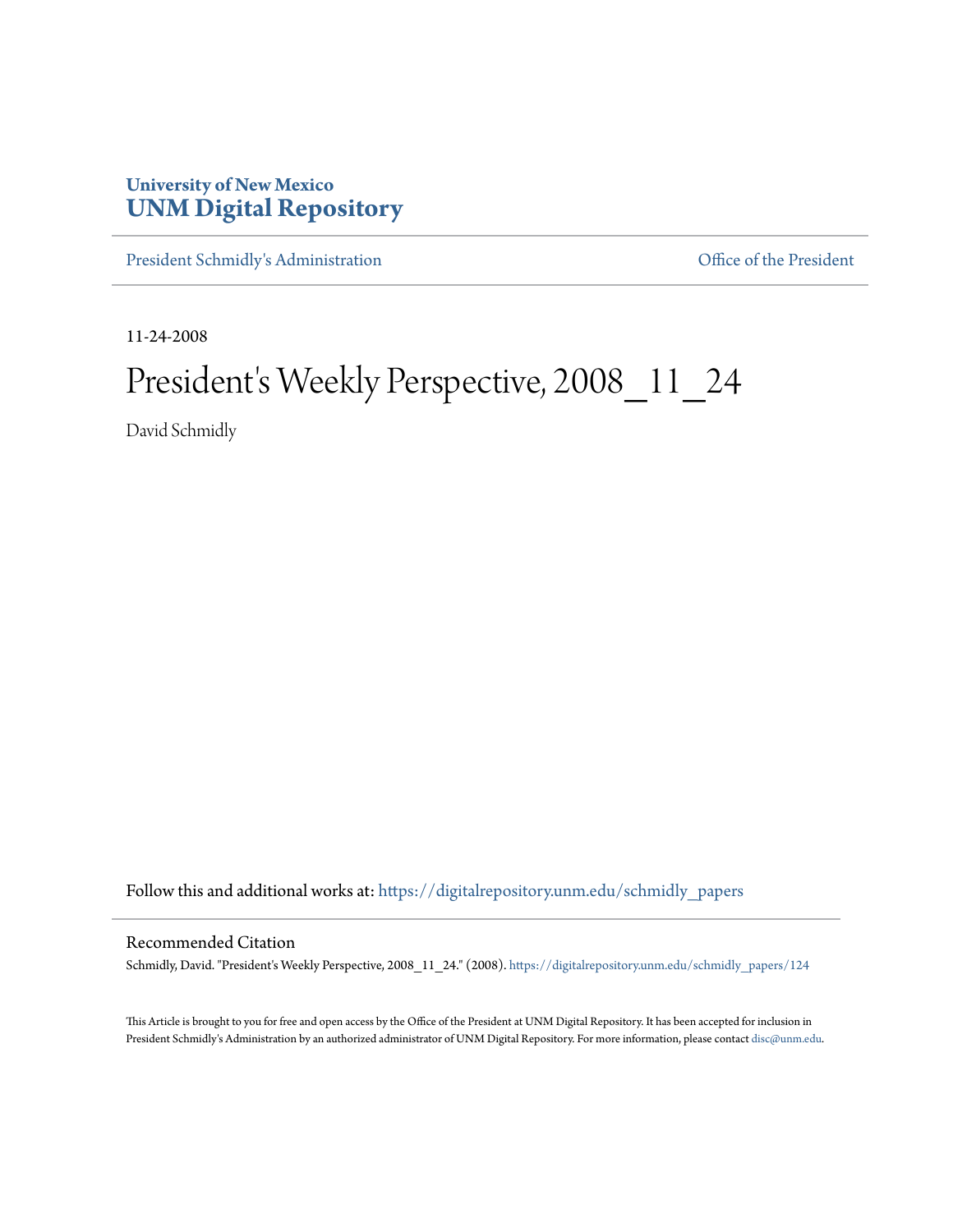## **University of New Mexico [UNM Digital Repository](https://digitalrepository.unm.edu?utm_source=digitalrepository.unm.edu%2Fschmidly_papers%2F124&utm_medium=PDF&utm_campaign=PDFCoverPages)**

[President Schmidly's Administration](https://digitalrepository.unm.edu/schmidly_papers?utm_source=digitalrepository.unm.edu%2Fschmidly_papers%2F124&utm_medium=PDF&utm_campaign=PDFCoverPages) [Office of the President](https://digitalrepository.unm.edu/ofc_president?utm_source=digitalrepository.unm.edu%2Fschmidly_papers%2F124&utm_medium=PDF&utm_campaign=PDFCoverPages)

11-24-2008

## President's Weekly Perspective, 2008\_11\_24

David Schmidly

Follow this and additional works at: [https://digitalrepository.unm.edu/schmidly\\_papers](https://digitalrepository.unm.edu/schmidly_papers?utm_source=digitalrepository.unm.edu%2Fschmidly_papers%2F124&utm_medium=PDF&utm_campaign=PDFCoverPages)

## Recommended Citation

Schmidly, David. "President's Weekly Perspective, 2008\_11\_24." (2008). [https://digitalrepository.unm.edu/schmidly\\_papers/124](https://digitalrepository.unm.edu/schmidly_papers/124?utm_source=digitalrepository.unm.edu%2Fschmidly_papers%2F124&utm_medium=PDF&utm_campaign=PDFCoverPages)

This Article is brought to you for free and open access by the Office of the President at UNM Digital Repository. It has been accepted for inclusion in President Schmidly's Administration by an authorized administrator of UNM Digital Repository. For more information, please contact [disc@unm.edu](mailto:disc@unm.edu).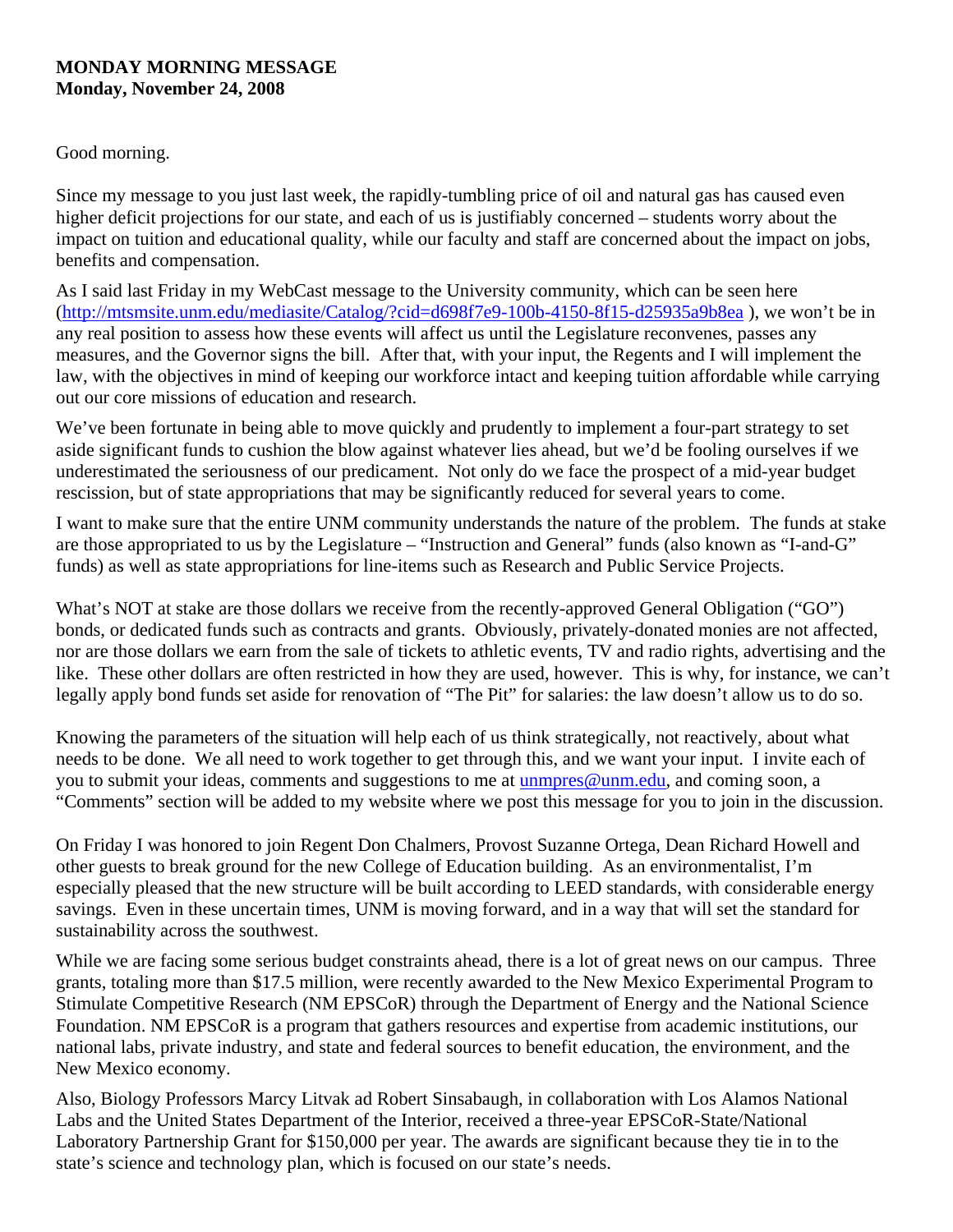## **MONDAY MORNING MESSAGE Monday, November 24, 2008**

Good morning.

Since my message to you just last week, the rapidly-tumbling price of oil and natural gas has caused even higher deficit projections for our state, and each of us is justifiably concerned – students worry about the impact on tuition and educational quality, while our faculty and staff are concerned about the impact on jobs, benefits and compensation.

As I said last Friday in my WebCast message to the University community, which can be seen here (<http://mtsmsite.unm.edu/mediasite/Catalog/?cid=d698f7e9-100b-4150-8f15-d25935a9b8ea> ), we won't be in any real position to assess how these events will affect us until the Legislature reconvenes, passes any measures, and the Governor signs the bill. After that, with your input, the Regents and I will implement the law, with the objectives in mind of keeping our workforce intact and keeping tuition affordable while carrying out our core missions of education and research.

We've been fortunate in being able to move quickly and prudently to implement a four-part strategy to set aside significant funds to cushion the blow against whatever lies ahead, but we'd be fooling ourselves if we underestimated the seriousness of our predicament. Not only do we face the prospect of a mid-year budget rescission, but of state appropriations that may be significantly reduced for several years to come.

I want to make sure that the entire UNM community understands the nature of the problem. The funds at stake are those appropriated to us by the Legislature – "Instruction and General" funds (also known as "I-and-G" funds) as well as state appropriations for line-items such as Research and Public Service Projects.

What's NOT at stake are those dollars we receive from the recently-approved General Obligation ("GO") bonds, or dedicated funds such as contracts and grants. Obviously, privately-donated monies are not affected, nor are those dollars we earn from the sale of tickets to athletic events, TV and radio rights, advertising and the like. These other dollars are often restricted in how they are used, however. This is why, for instance, we can't legally apply bond funds set aside for renovation of "The Pit" for salaries: the law doesn't allow us to do so.

Knowing the parameters of the situation will help each of us think strategically, not reactively, about what needs to be done. We all need to work together to get through this, and we want your input. I invite each of you to submit your ideas, comments and suggestions to me at [unmpres@unm.edu,](mailto:unmpres@unm.edu) and coming soon, a "Comments" section will be added to my website where we post this message for you to join in the discussion.

On Friday I was honored to join Regent Don Chalmers, Provost Suzanne Ortega, Dean Richard Howell and other guests to break ground for the new College of Education building. As an environmentalist, I'm especially pleased that the new structure will be built according to LEED standards, with considerable energy savings. Even in these uncertain times, UNM is moving forward, and in a way that will set the standard for sustainability across the southwest.

While we are facing some serious budget constraints ahead, there is a lot of great news on our campus. Three grants, totaling more than \$17.5 million, were recently awarded to the New Mexico Experimental Program to Stimulate Competitive Research (NM EPSCoR) through the Department of Energy and the National Science Foundation. NM EPSCoR is a program that gathers resources and expertise from academic institutions, our national labs, private industry, and state and federal sources to benefit education, the environment, and the New Mexico economy.

Also, Biology Professors Marcy Litvak ad Robert Sinsabaugh, in collaboration with Los Alamos National Labs and the United States Department of the Interior, received a three-year EPSCoR-State/National Laboratory Partnership Grant for \$150,000 per year. The awards are significant because they tie in to the state's science and technology plan, which is focused on our state's needs.